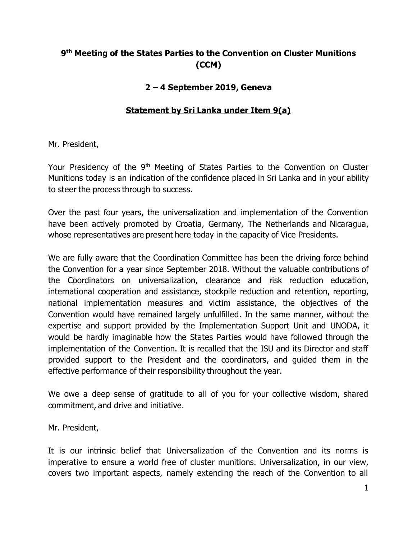## **9 th Meeting of the States Parties to the Convention on Cluster Munitions (CCM)**

## **2 – 4 September 2019, Geneva**

## **Statement by Sri Lanka under Item 9(a)**

Mr. President,

Your Presidency of the 9<sup>th</sup> Meeting of States Parties to the Convention on Cluster Munitions today is an indication of the confidence placed in Sri Lanka and in your ability to steer the process through to success.

Over the past four years, the universalization and implementation of the Convention have been actively promoted by Croatia, Germany, The Netherlands and Nicaragua, whose representatives are present here today in the capacity of Vice Presidents.

We are fully aware that the Coordination Committee has been the driving force behind the Convention for a year since September 2018. Without the valuable contributions of the Coordinators on universalization, clearance and risk reduction education, international cooperation and assistance, stockpile reduction and retention, reporting, national implementation measures and victim assistance, the objectives of the Convention would have remained largely unfulfilled. In the same manner, without the expertise and support provided by the Implementation Support Unit and UNODA, it would be hardly imaginable how the States Parties would have followed through the implementation of the Convention. It is recalled that the ISU and its Director and staff provided support to the President and the coordinators, and guided them in the effective performance of their responsibility throughout the year.

We owe a deep sense of gratitude to all of you for your collective wisdom, shared commitment, and drive and initiative.

Mr. President,

It is our intrinsic belief that Universalization of the Convention and its norms is imperative to ensure a world free of cluster munitions. Universalization, in our view, covers two important aspects, namely extending the reach of the Convention to all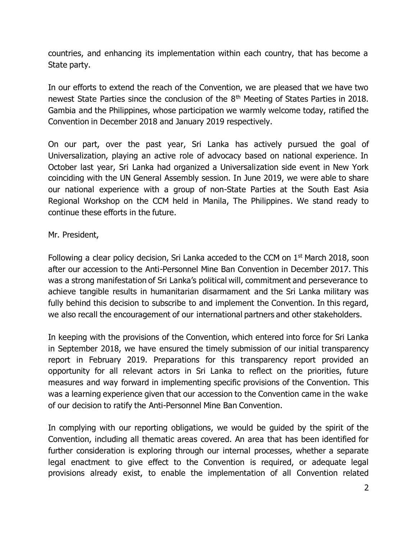countries, and enhancing its implementation within each country, that has become a State party.

In our efforts to extend the reach of the Convention, we are pleased that we have two newest State Parties since the conclusion of the  $8<sup>th</sup>$  Meeting of States Parties in 2018. Gambia and the Philippines, whose participation we warmly welcome today, ratified the Convention in December 2018 and January 2019 respectively.

On our part, over the past year, Sri Lanka has actively pursued the goal of Universalization, playing an active role of advocacy based on national experience. In October last year, Sri Lanka had organized a Universalization side event in New York coinciding with the UN General Assembly session. In June 2019, we were able to share our national experience with a group of non-State Parties at the South East Asia Regional Workshop on the CCM held in Manila, The Philippines. We stand ready to continue these efforts in the future.

## Mr. President,

Following a clear policy decision, Sri Lanka acceded to the CCM on  $1<sup>st</sup>$  March 2018, soon after our accession to the Anti-Personnel Mine Ban Convention in December 2017. This was a strong manifestation of Sri Lanka's political will, commitment and perseverance to achieve tangible results in humanitarian disarmament and the Sri Lanka military was fully behind this decision to subscribe to and implement the Convention. In this regard, we also recall the encouragement of our international partners and other stakeholders.

In keeping with the provisions of the Convention, which entered into force for Sri Lanka in September 2018, we have ensured the timely submission of our initial transparency report in February 2019. Preparations for this transparency report provided an opportunity for all relevant actors in Sri Lanka to reflect on the priorities, future measures and way forward in implementing specific provisions of the Convention. This was a learning experience given that our accession to the Convention came in the wake of our decision to ratify the Anti-Personnel Mine Ban Convention.

In complying with our reporting obligations, we would be guided by the spirit of the Convention, including all thematic areas covered. An area that has been identified for further consideration is exploring through our internal processes, whether a separate legal enactment to give effect to the Convention is required, or adequate legal provisions already exist, to enable the implementation of all Convention related